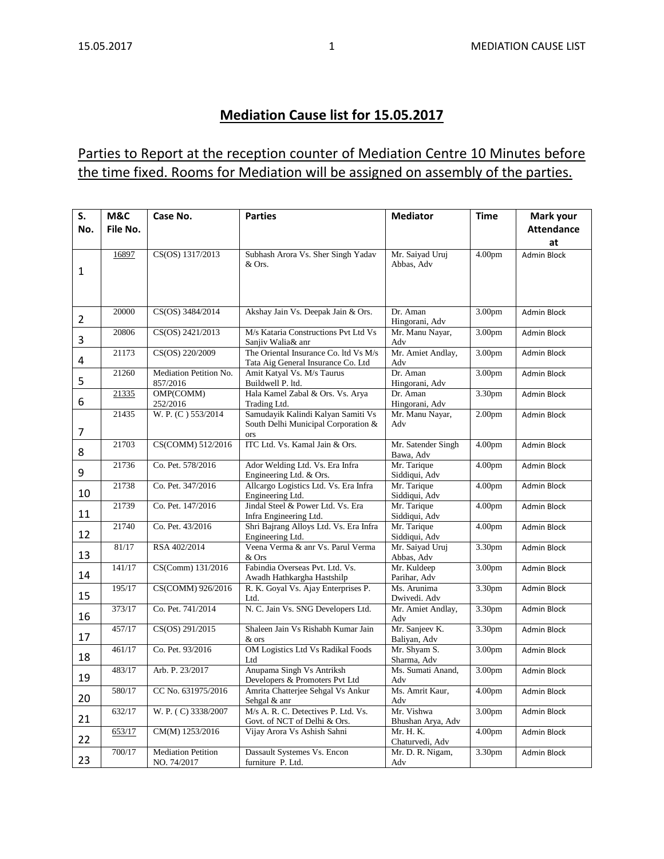## **Mediation Cause list for 15.05.2017**

## Parties to Report at the reception counter of Mediation Centre 10 Minutes before the time fixed. Rooms for Mediation will be assigned on assembly of the parties.

| S.             | M&C      | Case No.                                 | <b>Parties</b>                                                                   | <b>Mediator</b>                 | <b>Time</b>        | Mark your          |
|----------------|----------|------------------------------------------|----------------------------------------------------------------------------------|---------------------------------|--------------------|--------------------|
| No.            | File No. |                                          |                                                                                  |                                 |                    | <b>Attendance</b>  |
|                |          |                                          |                                                                                  |                                 |                    | at                 |
| 1              | 16897    | CS(OS) 1317/2013                         | Subhash Arora Vs. Sher Singh Yadav<br>& Ors.                                     | Mr. Saiyad Uruj<br>Abbas, Adv   | 4.00 <sub>pm</sub> | <b>Admin Block</b> |
|                |          |                                          |                                                                                  |                                 |                    |                    |
| 2              | 20000    | CS(OS) 3484/2014                         | Akshay Jain Vs. Deepak Jain & Ors.                                               | Dr. Aman<br>Hingorani, Adv      | 3.00pm             | Admin Block        |
| 3              | 20806    | CS(OS) 2421/2013                         | M/s Kataria Constructions Pvt Ltd Vs<br>Sanjiv Walia& anr                        | Mr. Manu Nayar,<br>Adv          | 3.00 <sub>pm</sub> | <b>Admin Block</b> |
| 4              | 21173    | CS(OS) 220/2009                          | The Oriental Insurance Co. ltd Vs M/s<br>Tata Aig General Insurance Co. Ltd      | Mr. Amiet Andlay,<br>Adv        | 3.00pm             | Admin Block        |
| 5              | 21260    | Mediation Petition No.<br>857/2016       | Amit Katyal Vs. M/s Taurus<br>Buildwell P. ltd.                                  | Dr. Aman<br>Hingorani, Adv      | 3.00 <sub>pm</sub> | <b>Admin Block</b> |
| 6              | 21335    | OMP(COMM)<br>252/2016                    | Hala Kamel Zabal & Ors. Vs. Arya<br>Trading Ltd.                                 | Dr. Aman<br>Hingorani, Adv      | 3.30pm             | Admin Block        |
| $\overline{7}$ | 21435    | W. P. (C) 553/2014                       | Samudayik Kalindi Kalyan Samiti Vs<br>South Delhi Municipal Corporation &<br>ors | Mr. Manu Nayar,<br>Adv          | 2.00 <sub>pm</sub> | <b>Admin Block</b> |
| 8              | 21703    | CS(COMM) 512/2016                        | ITC Ltd. Vs. Kamal Jain & Ors.                                                   | Mr. Satender Singh<br>Bawa, Adv | 4.00 <sub>pm</sub> | <b>Admin Block</b> |
| 9              | 21736    | Co. Pet. 578/2016                        | Ador Welding Ltd. Vs. Era Infra<br>Engineering Ltd. & Ors.                       | Mr. Tarique<br>Siddiqui, Adv    | 4.00 <sub>pm</sub> | Admin Block        |
| 10             | 21738    | Co. Pet. 347/2016                        | Allcargo Logistics Ltd. Vs. Era Infra<br>Engineering Ltd.                        | Mr. Tarique<br>Siddiqui, Adv    | 4.00 <sub>pm</sub> | <b>Admin Block</b> |
| 11             | 21739    | Co. Pet. 147/2016                        | Jindal Steel & Power Ltd. Vs. Era<br>Infra Engineering Ltd.                      | Mr. Tarique<br>Siddiqui, Adv    | 4.00 <sub>pm</sub> | <b>Admin Block</b> |
| 12             | 21740    | Co. Pet. 43/2016                         | Shri Bajrang Alloys Ltd. Vs. Era Infra<br>Engineering Ltd.                       | Mr. Tarique<br>Siddiqui, Adv    | 4.00 <sub>pm</sub> | Admin Block        |
| 13             | 81/17    | RSA 402/2014                             | Veena Verma & anr Vs. Parul Verma<br>& Ors                                       | Mr. Saiyad Uruj<br>Abbas, Adv   | 3.30pm             | <b>Admin Block</b> |
| 14             | 141/17   | CS(Comm) 131/2016                        | Fabindia Overseas Pvt. Ltd. Vs.<br>Awadh Hathkargha Hastshilp                    | Mr. Kuldeep<br>Parihar, Adv     | 3.00 <sub>pm</sub> | Admin Block        |
| 15             | 195/17   | CS(COMM) 926/2016                        | R. K. Goyal Vs. Ajay Enterprises P.<br>Ltd.                                      | Ms. Arunima<br>Dwivedi. Adv     | 3.30pm             | <b>Admin Block</b> |
| 16             | 373/17   | Co. Pet. 741/2014                        | N. C. Jain Vs. SNG Developers Ltd.                                               | Mr. Amiet Andlay,<br>Adv        | 3.30pm             | <b>Admin Block</b> |
| 17             | 457/17   | CS(OS) 291/2015                          | Shaleen Jain Vs Rishabh Kumar Jain<br>& ors                                      | Mr. Sanjeev K.<br>Baliyan, Adv  | 3.30pm             | Admin Block        |
| 18             | 461/17   | Co. Pet. 93/2016                         | OM Logistics Ltd Vs Radikal Foods<br>Ltd                                         | Mr. Shyam S.<br>Sharma, Adv     | 3.00pm             | <b>Admin Block</b> |
| 19             | 483/17   | Arb. P. 23/2017                          | Anupama Singh Vs Antriksh<br>Developers & Promoters Pvt Ltd                      | Ms. Sumati Anand,<br>Adv        | 3.00 <sub>pm</sub> | <b>Admin Block</b> |
| 20             | 580/17   | CC No. 631975/2016                       | Amrita Chatterjee Sehgal Vs Ankur<br>Sehgal & anr                                | Ms. Amrit Kaur,<br>Adv          | 4.00 <sub>pm</sub> | Admin Block        |
| 21             | 632/17   | W. P. (C) 3338/2007                      | M/s A. R. C. Detectives P. Ltd. Vs.<br>Govt. of NCT of Delhi & Ors.              | Mr. Vishwa<br>Bhushan Arya, Adv | 3.00 <sub>pm</sub> | <b>Admin Block</b> |
| 22             | 653/17   | CM(M) 1253/2016                          | Vijay Arora Vs Ashish Sahni                                                      | Mr. H. K.<br>Chaturvedi, Adv    | 4.00 <sub>pm</sub> | Admin Block        |
| 23             | 700/17   | <b>Mediation Petition</b><br>NO. 74/2017 | Dassault Systemes Vs. Encon<br>furniture P. Ltd.                                 | Mr. D. R. Nigam,<br>Adv         | 3.30pm             | Admin Block        |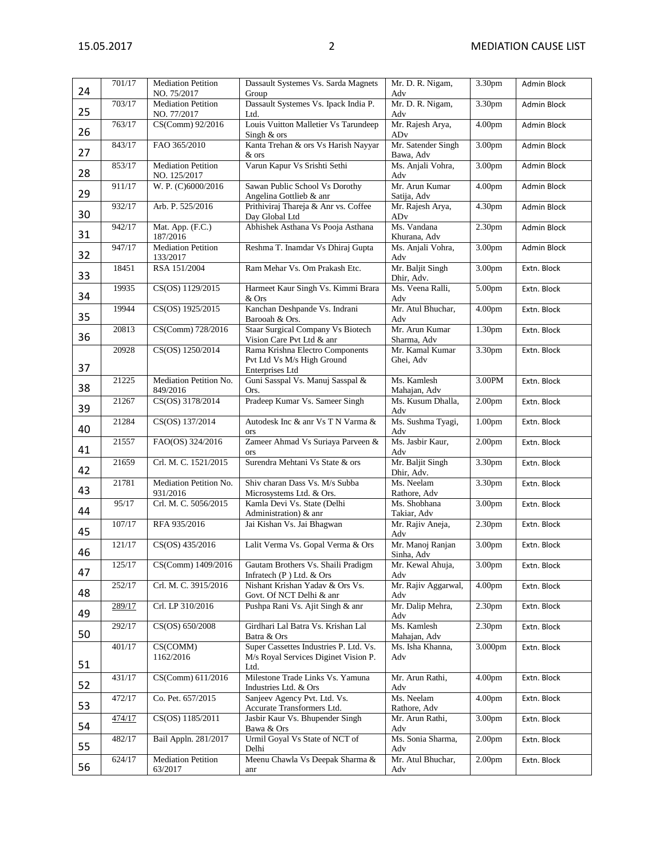| 24 | 701/17 | <b>Mediation Petition</b><br>NO. 75/2017  | Dassault Systemes Vs. Sarda Magnets<br>Group                                           | Mr. D. R. Nigam,<br>Adv         | 3.30pm             | <b>Admin Block</b> |
|----|--------|-------------------------------------------|----------------------------------------------------------------------------------------|---------------------------------|--------------------|--------------------|
| 25 | 703/17 | <b>Mediation Petition</b><br>NO. 77/2017  | Dassault Systemes Vs. Ipack India P.<br>Ltd.                                           | Mr. D. R. Nigam,<br>Adv         | 3.30pm             | Admin Block        |
| 26 | 763/17 | CS(Comm) 92/2016                          | Louis Vuitton Malletier Vs Tarundeep<br>Singh & ors                                    | Mr. Rajesh Arya,<br>ADv         | 4.00pm             | Admin Block        |
| 27 | 843/17 | FAO 365/2010                              | Kanta Trehan & ors Vs Harish Nayyar<br>& ors                                           | Mr. Satender Singh<br>Bawa, Adv | 3.00 <sub>pm</sub> | Admin Block        |
| 28 | 853/17 | <b>Mediation Petition</b><br>NO. 125/2017 | Varun Kapur Vs Srishti Sethi                                                           | Ms. Anjali Vohra,<br>Adv        | 3.00 <sub>pm</sub> | Admin Block        |
| 29 | 911/17 | W. P. (C)6000/2016                        | Sawan Public School Vs Dorothy<br>Angelina Gottlieb & anr                              | Mr. Arun Kumar<br>Satija, Adv   | 4.00 <sub>pm</sub> | Admin Block        |
| 30 | 932/17 | Arb. P. 525/2016                          | Prithiviraj Thareja & Anr vs. Coffee<br>Day Global Ltd                                 | Mr. Rajesh Arya,<br>ADv         | 4.30pm             | Admin Block        |
| 31 | 942/17 | Mat. App. (F.C.)<br>187/2016              | Abhishek Asthana Vs Pooja Asthana                                                      | Ms. Vandana<br>Khurana, Adv     | 2.30 <sub>pm</sub> | Admin Block        |
| 32 | 947/17 | <b>Mediation Petition</b><br>133/2017     | Reshma T. Inamdar Vs Dhiraj Gupta                                                      | Ms. Anjali Vohra,<br>Adv        | 3.00pm             | Admin Block        |
| 33 | 18451  | RSA 151/2004                              | Ram Mehar Vs. Om Prakash Etc.                                                          | Mr. Baljit Singh<br>Dhir, Adv.  | 3.00pm             | Extn. Block        |
| 34 | 19935  | CS(OS) 1129/2015                          | Harmeet Kaur Singh Vs. Kimmi Brara<br>& Ors                                            | Ms. Veena Ralli,<br>Adv         | 5.00pm             | Extn. Block        |
| 35 | 19944  | CS(OS) 1925/2015                          | Kanchan Deshpande Vs. Indrani<br>Barooah & Ors.                                        | Mr. Atul Bhuchar,<br>Adv        | 4.00 <sub>pm</sub> | Extn. Block        |
| 36 | 20813  | CS(Comm) 728/2016                         | <b>Staar Surgical Company Vs Biotech</b><br>Vision Care Pvt Ltd & anr                  | Mr. Arun Kumar<br>Sharma, Adv   | 1.30pm             | Extn. Block        |
| 37 | 20928  | CS(OS) 1250/2014                          | Rama Krishna Electro Components<br>Pvt Ltd Vs M/s High Ground<br>Enterprises Ltd       | Mr. Kamal Kumar<br>Ghei, Adv    | 3.30pm             | Extn. Block        |
| 38 | 21225  | Mediation Petition No.<br>849/2016        | Guni Sasspal Vs. Manuj Sasspal &<br>Ors.                                               | Ms. Kamlesh<br>Mahajan, Adv     | 3.00PM             | Extn. Block        |
| 39 | 21267  | CS(OS) 3178/2014                          | Pradeep Kumar Vs. Sameer Singh                                                         | Ms. Kusum Dhalla,<br>Adv        | 2.00 <sub>pm</sub> | Extn. Block        |
| 40 | 21284  | CS(OS) 137/2014                           | Autodesk Inc & anr Vs T N Varma &<br>ors                                               | Ms. Sushma Tyagi,<br>Adv        | 1.00pm             | Extn. Block        |
| 41 | 21557  | FAO(OS) 324/2016                          | Zameer Ahmad Vs Suriaya Parveen &<br>ors                                               | Ms. Jasbir Kaur,<br>Adv         | 2.00 <sub>pm</sub> | Extn. Block        |
| 42 | 21659  | Crl. M. C. 1521/2015                      | Surendra Mehtani Vs State & ors                                                        | Mr. Baljit Singh<br>Dhir, Adv.  | 3.30pm             | Extn. Block        |
| 43 | 21781  | Mediation Petition No.<br>931/2016        | Shiv charan Dass Vs. M/s Subba<br>Microsystems Ltd. & Ors.                             | Ms. Neelam<br>Rathore, Adv      | 3.30pm             | Extn. Block        |
| 44 | 95/17  | Crl. M. C. 5056/2015                      | Kamla Devi Vs. State (Delhi<br>Administration) & anr                                   | Ms. Shobhana<br>Takiar, Adv     | 3.00pm             | Extn. Block        |
| 45 | 107/17 | RFA 935/2016                              | Jai Kishan Vs. Jai Bhagwan                                                             | Mr. Rajiv Aneja,<br>Adv         | 2.30 <sub>pm</sub> | Extn. Block        |
| 46 | 121/17 | CS(OS) 435/2016                           | Lalit Verma Vs. Gopal Verma & Ors                                                      | Mr. Manoj Ranjan<br>Sinha, Adv  | 3.00pm             | Extn. Block        |
| 47 | 125/17 | CS(Comm) 1409/2016                        | Gautam Brothers Vs. Shaili Pradigm<br>Infratech $(P)$ Ltd. & Ors                       | Mr. Kewal Ahuja,<br>Adv         | 3.00pm             | Extn. Block        |
| 48 | 252/17 | Crl. M. C. 3915/2016                      | Nishant Krishan Yadav & Ors Vs.<br>Govt. Of NCT Delhi & anr                            | Mr. Rajiv Aggarwal,<br>Adv      | 4.00 <sub>pm</sub> | Extn. Block        |
| 49 | 289/17 | Crl. LP 310/2016                          | Pushpa Rani Vs. Ajit Singh & anr                                                       | Mr. Dalip Mehra,<br>Adv         | 2.30 <sub>pm</sub> | Extn. Block        |
| 50 | 292/17 | CS(OS) 650/2008                           | Girdhari Lal Batra Vs. Krishan Lal<br>Batra & Ors                                      | Ms. Kamlesh<br>Mahajan, Adv     | 2.30 <sub>pm</sub> | Extn. Block        |
| 51 | 401/17 | CS(COMM)<br>1162/2016                     | Super Cassettes Industries P. Ltd. Vs.<br>M/s Royal Services Diginet Vision P.<br>Ltd. | Ms. Isha Khanna,<br>Adv         | 3.000pm            | Extn. Block        |
| 52 | 431/17 | CS(Comm) 611/2016                         | Milestone Trade Links Vs. Yamuna<br>Industries Ltd. & Ors                              | Mr. Arun Rathi,<br>Adv          | 4.00 <sub>pm</sub> | Extn. Block        |
| 53 | 472/17 | Co. Pet. 657/2015                         | Sanjeev Agency Pvt. Ltd. Vs.<br>Accurate Transformers Ltd.                             | Ms. Neelam<br>Rathore, Adv      | 4.00 <sub>pm</sub> | Extn. Block        |
| 54 | 474/17 | CS(OS) 1185/2011                          | Jasbir Kaur Vs. Bhupender Singh<br>Bawa & Ors                                          | Mr. Arun Rathi,<br>Adv          | 3.00pm             | Extn. Block        |
| 55 | 482/17 | Bail Appln. 281/2017                      | Urmil Goyal Vs State of NCT of<br>Delhi                                                | Ms. Sonia Sharma,<br>Adv        | 2.00 <sub>pm</sub> | Extn. Block        |
| 56 | 624/17 | <b>Mediation Petition</b><br>63/2017      | Meenu Chawla Vs Deepak Sharma &<br>anr                                                 | Mr. Atul Bhuchar,<br>Adv        | 2.00 <sub>pm</sub> | Extn. Block        |